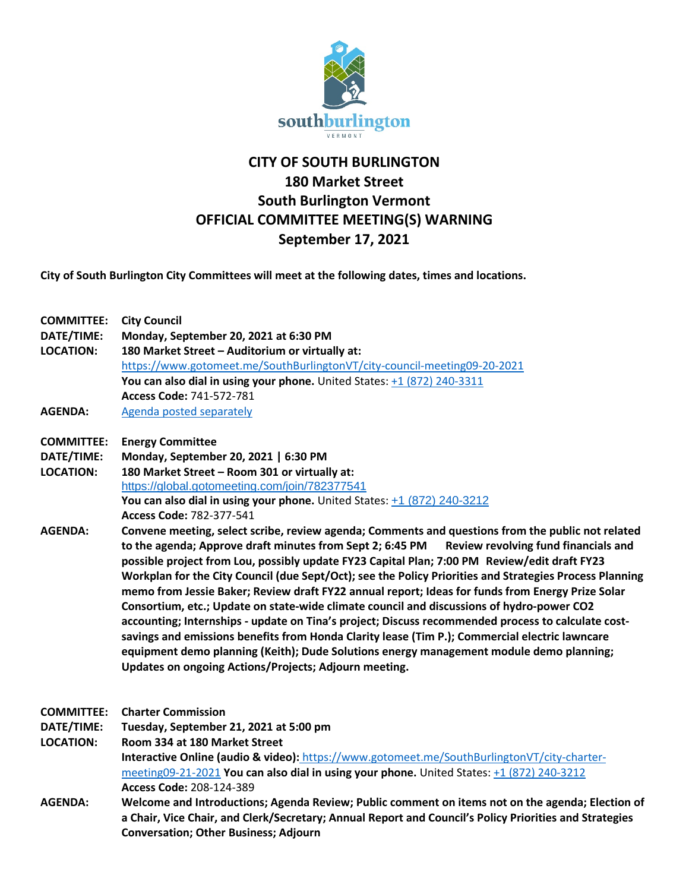

## **CITY OF SOUTH BURLINGTON 180 Market Street South Burlington Vermont OFFICIAL COMMITTEE MEETING(S) WARNING September 17, 2021**

**City of South Burlington City Committees will meet at the following dates, times and locations.** 

| <b>COMMITTEE:</b><br>DATE/TIME:<br><b>LOCATION:</b><br><b>AGENDA:</b> | <b>City Council</b><br>Monday, September 20, 2021 at 6:30 PM                                            |
|-----------------------------------------------------------------------|---------------------------------------------------------------------------------------------------------|
|                                                                       |                                                                                                         |
|                                                                       | https://www.gotomeet.me/SouthBurlingtonVT/city-council-meeting09-20-2021                                |
|                                                                       | You can also dial in using your phone. United States: +1 (872) 240-3311                                 |
|                                                                       | Access Code: 741-572-781                                                                                |
|                                                                       | Agenda posted separately                                                                                |
|                                                                       | <b>COMMITTEE:</b>                                                                                       |
| DATE/TIME:                                                            | Monday, September 20, 2021   6:30 PM                                                                    |
| <b>LOCATION:</b>                                                      | 180 Market Street - Room 301 or virtually at:                                                           |
|                                                                       | https://global.gotomeeting.com/join/782377541                                                           |
|                                                                       | You can also dial in using your phone. United States: +1 (872) 240-3212                                 |
|                                                                       | Access Code: 782-377-541                                                                                |
| <b>AGENDA:</b>                                                        | Convene meeting, select scribe, review agenda; Comments and questions from the public not related       |
|                                                                       | to the agenda; Approve draft minutes from Sept 2; 6:45 PM<br>Review revolving fund financials and       |
|                                                                       | possible project from Lou, possibly update FY23 Capital Plan; 7:00 PM Review/edit draft FY23            |
|                                                                       | Workplan for the City Council (due Sept/Oct); see the Policy Priorities and Strategies Process Planning |
|                                                                       | memo from Jessie Baker; Review draft FY22 annual report; Ideas for funds from Energy Prize Solar        |
|                                                                       | Consortium, etc.; Update on state-wide climate council and discussions of hydro-power CO2               |
|                                                                       | accounting; Internships - update on Tina's project; Discuss recommended process to calculate cost-      |
|                                                                       | savings and emissions benefits from Honda Clarity lease (Tim P.); Commercial electric lawncare          |
|                                                                       | equipment demo planning (Keith); Dude Solutions energy management module demo planning;                 |
|                                                                       | Updates on ongoing Actions/Projects; Adjourn meeting.                                                   |
|                                                                       |                                                                                                         |
| <b>COMMITTEE:</b>                                                     | <b>Charter Commission</b>                                                                               |
| DATE/TIME:                                                            | Tuesday, September 21, 2021 at 5:00 pm                                                                  |
| <b>LOCATION:</b>                                                      | Room 334 at 180 Market Street                                                                           |
|                                                                       | <b>Interactive Online (audio &amp; video):</b> https://www.gotomeet.me/SouthBurlingtonVT/city-charter-  |
|                                                                       | meeting09-21-2021 You can also dial in using your phone. United States: +1 (872) 240-3212               |
|                                                                       | Access Code: 208-124-389                                                                                |
| <b>AGENDA:</b>                                                        | Welcome and Introductions; Agenda Review; Public comment on items not on the agenda; Election of        |
|                                                                       | a Chair, Vice Chair, and Clerk/Secretary; Annual Report and Council's Policy Priorities and Strategies  |
|                                                                       | <b>Conversation; Other Business; Adjourn</b>                                                            |